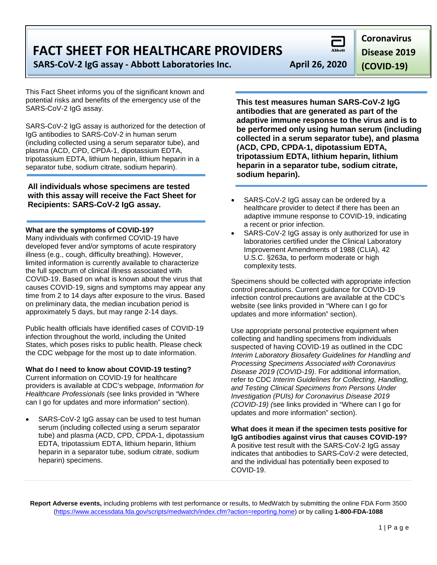**FACT SHEET FOR HEALTHCARE PROVIDERS**

**SARS-CoV-2 IgG assay - Abbott Laboratories Inc. April 26, 2020**

This Fact Sheet informs you of the significant known and potential risks and benefits of the emergency use of the SARS-CoV-2 IgG assay.

SARS-CoV-2 IgG assay is authorized for the detection of IgG antibodies to SARS-CoV-2 in human serum (including collected using a serum separator tube), and plasma (ACD, CPD, CPDA-1, dipotassium EDTA, tripotassium EDTA, lithium heparin, lithium heparin in a separator tube, sodium citrate, sodium heparin).

**All individuals whose specimens are tested with this assay will receive the Fact Sheet for Recipients: SARS-CoV-2 IgG assay.**

**What are the symptoms of COVID-19?**

Many individuals with confirmed COVID-19 have developed fever and/or symptoms of acute respiratory illness (e.g., cough, difficulty breathing). However, limited information is currently available to characterize the full spectrum of clinical illness associated with COVID-19. Based on what is known about the virus that causes COVID-19, signs and symptoms may appear any time from 2 to 14 days after exposure to the virus. Based on preliminary data, the median incubation period is approximately 5 days, but may range 2-14 days.

Public health officials have identified cases of COVID-19 infection throughout the world, including the United States, which poses risks to public health. Please check the CDC webpage for the most up to date information.

**What do I need to know about COVID-19 testing?**

Current information on COVID-19 for healthcare providers is available at CDC's webpage, *Information for Healthcare Professionals* (see links provided in "Where can I go for updates and more information" section).

SARS-CoV-2 IgG assay can be used to test human serum (including collected using a serum separator tube) and plasma (ACD, CPD, CPDA-1, dipotassium EDTA, tripotassium EDTA, lithium heparin, lithium heparin in a separator tube, sodium citrate, sodium heparin) specimens.

**This test measures human SARS-CoV-2 IgG antibodies that are generated as part of the adaptive immune response to the virus and is to be performed only using human serum (including collected in a serum separator tube), and plasma (ACD, CPD, CPDA-1, dipotassium EDTA, tripotassium EDTA, lithium heparin, lithium heparin in a separator tube, sodium citrate, sodium heparin).**

- SARS-CoV-2 IgG assay can be ordered by a healthcare provider to detect if there has been an adaptive immune response to COVID-19, indicating a recent or prior infection.
- SARS-CoV-2 IgG assay is only authorized for use in laboratories certified under the Clinical Laboratory Improvement Amendments of 1988 (CLIA), 42 U.S.C. §263a, to perform moderate or high complexity tests.

Specimens should be collected with appropriate infection control precautions. Current guidance for COVID-19 infection control precautions are available at the CDC's website (see links provided in "Where can I go for updates and more information" section).

Use appropriate personal protective equipment when collecting and handling specimens from individuals suspected of having COVID-19 as outlined in the CDC *Interim Laboratory Biosafety Guidelines for Handling and Processing Specimens Associated with Coronavirus Disease 2019 (COVID-19)*. For additional information, refer to CDC *Interim Guidelines for Collecting, Handling, and Testing Clinical Specimens from Persons Under Investigation (PUIs) for Coronavirus Disease 2019 (COVID-19) (*see links provided in "Where can I go for updates and more information" section).

**What does it mean if the specimen tests positive for IgG antibodies against virus that causes COVID-19?** A positive test result with the SARS-CoV-2 IgG assay indicates that antibodies to SARS-CoV-2 were detected, and the individual has potentially been exposed to COVID-19.

**Report Adverse events,** including problems with test performance or results, to MedWatch by submitting the online FDA Form 3500 [\(https://www.accessdata.fda.gov/scripts/medwatch/index.cfm?action=reporting.home\)](https://www.accessdata.fda.gov/scripts/medwatch/index.cfm?action=reporting.home) or by calling **1-800-FDA-1088**

**Coronavirus** 

**Disease 2019** 

**(COVID-19)**

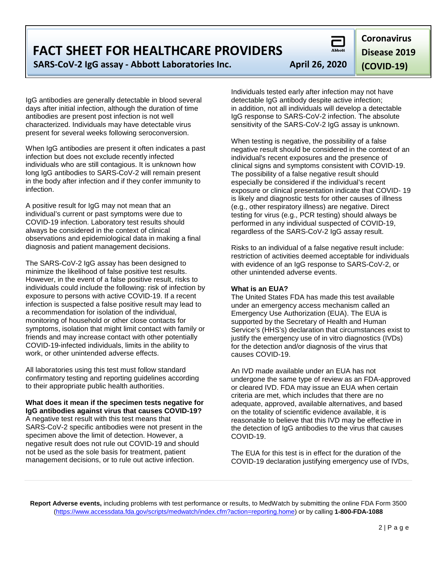**Report Adverse events,** including problems with test performance or results, to MedWatch by submitting the online FDA Form 3500 [\(https://www.accessdata.fda.gov/scripts/medwatch/index.cfm?action=reporting.home\)](https://www.accessdata.fda.gov/scripts/medwatch/index.cfm?action=reporting.home) or by calling **1-800-FDA-1088**

# **FACT SHEET FOR HEALTHCARE PROVIDERS**

**SARS-CoV-2 IgG assay - Abbott Laboratories Inc. April 26, 2020**

IgG antibodies are generally detectable in blood several days after initial infection, although the duration of time antibodies are present post infection is not well characterized. Individuals may have detectable virus present for several weeks following seroconversion.

When IgG antibodies are present it often indicates a past infection but does not exclude recently infected individuals who are still contagious. It is unknown how long IgG antibodies to SARS-CoV-2 will remain present in the body after infection and if they confer immunity to infection.

A positive result for IgG may not mean that an individual's current or past symptoms were due to COVID-19 infection. Laboratory test results should always be considered in the context of clinical observations and epidemiological data in making a final diagnosis and patient management decisions.

The SARS-CoV-2 IgG assay has been designed to minimize the likelihood of false positive test results. However, in the event of a false positive result, risks to individuals could include the following: risk of infection by exposure to persons with active COVID-19. If a recent infection is suspected a false positive result may lead to a recommendation for isolation of the individual, monitoring of household or other close contacts for symptoms, isolation that might limit contact with family or friends and may increase contact with other potentially COVID-19-infected individuals, limits in the ability to work, or other unintended adverse effects.

All laboratories using this test must follow standard confirmatory testing and reporting guidelines according to their appropriate public health authorities.

**What does it mean if the specimen tests negative for IgG antibodies against virus that causes COVID-19?** A negative test result with this test means that SARS-CoV-2 specific antibodies were not present in the specimen above the limit of detection. However, a negative result does not rule out COVID-19 and should not be used as the sole basis for treatment, patient management decisions, or to rule out active infection.

Individuals tested early after infection may not have detectable IgG antibody despite active infection; in addition, not all individuals will develop a detectable IgG response to SARS-CoV-2 infection. The absolute sensitivity of the SARS-CoV-2 IgG assay is unknown.

When testing is negative, the possibility of a false negative result should be considered in the context of an individual's recent exposures and the presence of clinical signs and symptoms consistent with COVID-19. The possibility of a false negative result should especially be considered if the individual's recent exposure or clinical presentation indicate that COVID- 19 is likely and diagnostic tests for other causes of illness (e.g., other respiratory illness) are negative. Direct testing for virus (e.g., PCR testing) should always be performed in any individual suspected of COVID-19, regardless of the SARS-CoV-2 IgG assay result.

Risks to an individual of a false negative result include: restriction of activities deemed acceptable for individuals with evidence of an IgG response to SARS-CoV-2, or other unintended adverse events.

#### **What is an EUA?**

The United States FDA has made this test available under an emergency access mechanism called an Emergency Use Authorization (EUA). The EUA is supported by the Secretary of Health and Human Service's (HHS's) declaration that circumstances exist to justify the emergency use of in vitro diagnostics (IVDs) for the detection and/or diagnosis of the virus that causes COVID-19.

An IVD made available under an EUA has not undergone the same type of review as an FDA-approved or cleared IVD. FDA may issue an EUA when certain criteria are met, which includes that there are no adequate, approved, available alternatives, and based on the totality of scientific evidence available, it is reasonable to believe that this IVD may be effective in the detection of IgG antibodies to the virus that causes COVID-19.

The EUA for this test is in effect for the duration of the COVID-19 declaration justifying emergency use of IVDs,

**Disease 2019 (COVID-19)**

**Coronavirus**